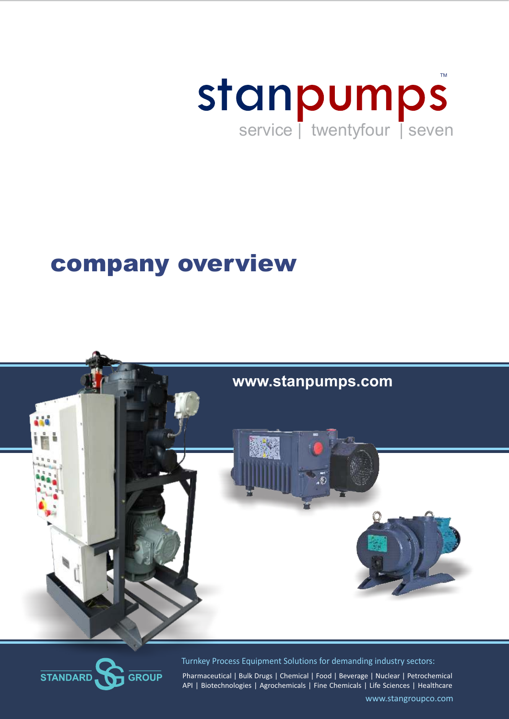

# company overview





Turnkey Process Equipment Solutions for demanding industry sectors:

Pharmaceutical | Bulk Drugs | Chemical | Food | Beverage | Nuclear | Petrochemical API | Biotechnologies | Agrochemicals | Fine Chemicals | Life Sciences | Healthcare

www.stangroupco.com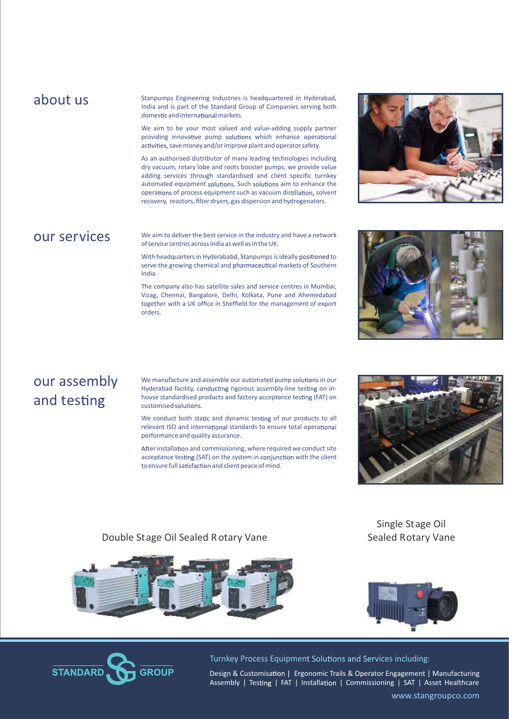#### about us

Stanpumps Engineering Industries is headquartered in Hyderabad, India and is part of the Standard Group of Companies serving both domestic and international markets.

We aim to be your most valued and value-adding supply partner providing innovative pump solutions which enhance operational activities, save money and/or improve plant and operator safety.

As an authorised distributor of many leading technologies including dry vacuum, rotary lobe and roots booster pumps, we provide value adding services through standardised and client specific turnkey automated equipment solutions. Such solutions aim to enhance the operations of process equipment such as vacuum distillation, solvent recovery, reactors, filter dryers, gas dispersion and hydrogenators.

## our services

We aim to deliver the best service in the industry and have a network of service centres across India as well as in the UK.

With headquarters in Hyderababd, Stanpumps is ideally positioned to serve the growing chemical and pharmaceutical markets of Southern India.

The company also has satellite sales and service centres in Mumbai, Vizag, Chennai, Bangalore, Delhi, Kolkata, Pune and Ahemedabad together with a UK office in Sheffield for the management of export orders.





## our assembly and testing

We manufacture and assemble our automated pump solutions in our Hyderabad facility, conducting rigorous assembly-line testing on inhouse standardised products and factory acceptance testing (FAT) on customised solutions.

We conduct both static and dynamic testing of our products to all relevant ISO and international standards to ensure total operational performance and quality assurance.

After installation and commissioning, where required we conduct site acceptance testing (SAT) on the system in conjunction with the client to ensure full satisfaction and client peace of mind.



#### Double Stage Oil Sealed Rotary Vane



Sealed Rotary Vane

Single Stage Oil





Turnkey Process Equipment Solutions and Services including:

www.stangroupco.com Design & Customisation | Ergonomic Trails & Operator Engagement | Manufacturing Assembly | Testing | FAT | Installation | Commissioning | SAT | Asset Healthcare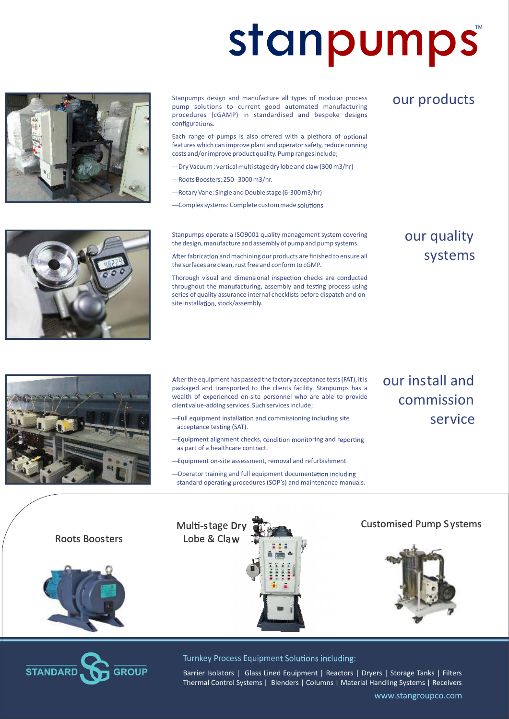# **stanpumps**



Stanpumps design and manufacture all types of modular process pump solutions to current good automated manufacturing procedures (cGAMP) in standardised and bespoke designs configurations.

Each range of pumps is also offered with a plethora of optional features which can improve plant and operator safety, reduce running costs and/or improve product quality. Pump ranges include;

- -Dry Vacuum : vertical multi stage dry lobe and claw (300 m3/hr)
- Roots Boosters: 250 3000 m3/hr.
- Rotary Vane: Single and Double stage (6-300 m3/hr)
- Complex systems: Complete custom made

Stanpumps operate a ISO9001 quality management system covering the design, manufacture and assembly of pump and pump systems.

After fabrication and machining our products are finished to ensure all the surfaces are clean, rust free and conform to cGMP.

Thorough visual and dimensional inspection checks are conducted throughout the manufacturing, assembly and testing process using series of quality assurance internal checklists before dispatch and onsite installation. stock/assembly.

## our products

## our quality systems



After the equipment has passed the factory acceptance tests (FAT), it is packaged and transported to the clients facility. Stanpumps has a wealth of experienced on-site personnel who are able to provide client value-adding services. Such services include;

- -Full equipment installation and commissioning including site acceptance testing (SAT).
- -Equipment alignment checks, condition monitoring and reporting as part of a healthcare contract.
- Equipment on-site assessment, removal and refurbishment.

Multi-stage Dry Lobe & Claw

-Operator training and full equipment documentation including standard operating procedures (SOP's) and maintenance manuals.  our install and commission service

Customised Pump S ystems

Roots Boosters





#### Turnkey Process Equipment Solutions including:

Barrier Isolators | Glass Lined Equipment | Reactors | Dryers | Storage Tanks | Filters Thermal Control Systems | Blenders | Columns | Material Handling Systems | Receivers

www.stangroupco.com